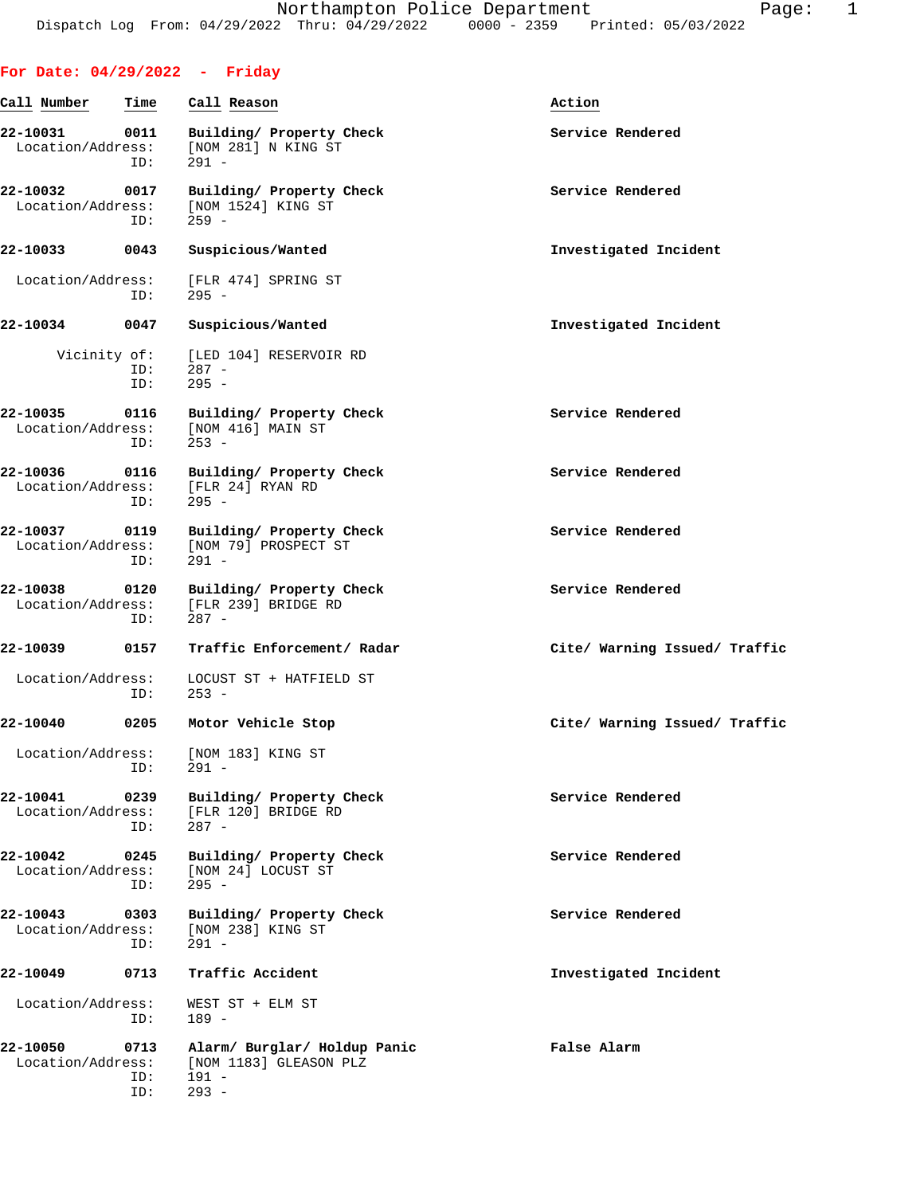## **For Date: 04/29/2022 - Friday Call Number Time Call Reason Action 22-10031 0011 Building/ Property Check Service Rendered** Service Rendered Location/Address: [NOM 281] N KING ST [NOM 281] N KING ST ID: 291 - 22-10032 0017 Building/ Property Check **Service Rendered** Location/Address: [NOM 1524] KING ST<br>ID: 259 - ID: 259 - **22-10033 0043 Suspicious/Wanted Investigated Incident** Location/Address: [FLR 474] SPRING ST ID: 295 - **22-10034 0047 Suspicious/Wanted Investigated Incident** Vicinity of: [LED 104] RESERVOIR RD ID: 287 -<br>ID: 295 - $295 -$ **22-10035 0116 Building/ Property Check Service Rendered** Location/Address: [NOM 416] MAIN ST ID: 253 - 22-10036 0116 Building/ Property Check **Service Rendered** Location/Address: [FLR 24] RYAN RD<br>ID: 295 - ID: 295 - 22-10037 0119 Building/ Property Check **Service Rendered**  Location/Address: [NOM 79] PROSPECT ST ID: 291 - 22-10038 0120 Building/ Property Check **Service Rendered** Location/Address: [FLR 239] BRIDGE RD<br>ID: 287 - ID: 287 - **22-10039 0157 Traffic Enforcement/ Radar Cite/ Warning Issued/ Traffic** Location/Address: LOCUST ST + HATFIELD ST ID: 253 - **22-10040 0205 Motor Vehicle Stop Cite/ Warning Issued/ Traffic** Location/Address: [NOM 183] KING ST ID: 291 - 22-10041 0239 Building/ Property Check **Service Rendered** Booking Service Rendered [FLR 120] BRIDGE RD ID: 287 - **22-10042 0245 Building/ Property Check Service Rendered** Location/Address: [NOM 24] LOCUST ST ID: 295 - **22-10043** 0303 Building/ Property Check Service Rendered Location/Address: [NOM 238] KING ST Location/Address:<br>ID:  $291 -$ **22-10049 0713 Traffic Accident Investigated Incident** Location/Address: WEST ST + ELM ST ID: 189 -

**22-10050 0713 Alarm/ Burglar/ Holdup Panic False Alarm** Location/Address: [NOM 1183] GLEASON PLZ ID: 191 - ID: 293 -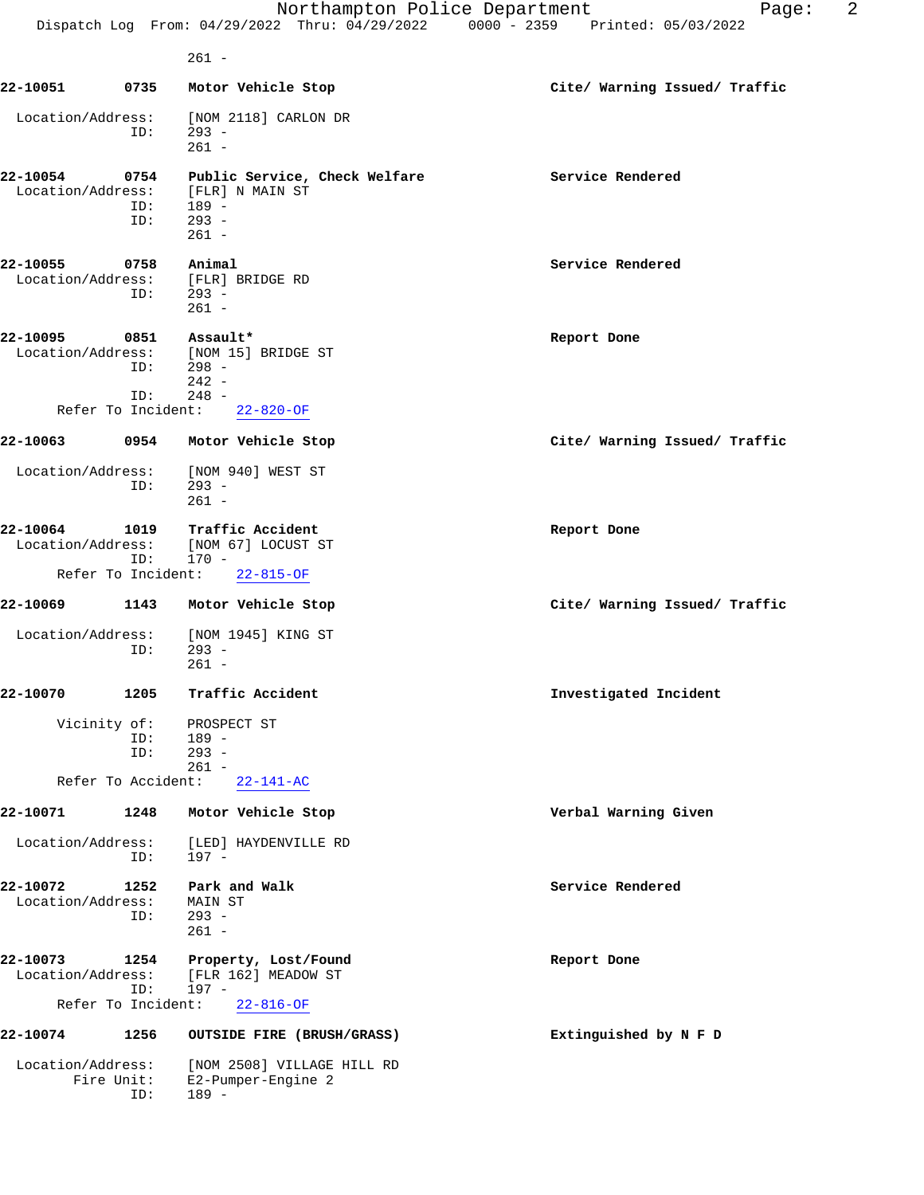|                                 |                    | Northampton Police Department<br>Dispatch Log From: 04/29/2022 Thru: 04/29/2022 0000 - 2359 Printed: 05/03/2022 | 2<br>Page:                    |
|---------------------------------|--------------------|-----------------------------------------------------------------------------------------------------------------|-------------------------------|
|                                 |                    | $261 -$                                                                                                         |                               |
| 22-10051                        | 0735               | Motor Vehicle Stop                                                                                              | Cite/ Warning Issued/ Traffic |
| Location/Address:               | ID:                | [NOM 2118] CARLON DR<br>$293 -$<br>$261 -$                                                                      |                               |
| 22-10054<br>Location/Address:   | 0754<br>ID:<br>ID: | Public Service, Check Welfare<br>[FLR] N MAIN ST<br>$189 -$<br>$293 -$<br>$261 -$                               | Service Rendered              |
| 22-10055                        | 0758               | Animal<br>Location/Address: [FLR] BRIDGE RD<br>$ID: 293 -$<br>$261 -$                                           | Service Rendered              |
| 22-10095                        | 0851<br>ID:<br>ID: | Assault*<br>Location/Address: [NOM 15] BRIDGE ST<br>$298 -$<br>$242 -$<br>$248 -$                               | Report Done                   |
|                                 |                    | Refer To Incident: 22-820-OF                                                                                    |                               |
| 22-10063                        |                    | 0954 Motor Vehicle Stop                                                                                         | Cite/ Warning Issued/ Traffic |
| Location/Address:               | ID:                | [NOM 940] WEST ST<br>$293 -$<br>$261 -$                                                                         |                               |
| 22-10064                        | ID:                | 1019 Traffic Accident<br>Location/Address: [NOM 67] LOCUST ST<br>170 -                                          | Report Done                   |
| Refer To Incident:              |                    | $22 - 815 - OF$                                                                                                 |                               |
| 22-10069                        | 1143               | Motor Vehicle Stop                                                                                              | Cite/ Warning Issued/ Traffic |
| Location/Address:               | ID:                | [NOM 1945] KING ST<br>$293 -$<br>$261 -$                                                                        |                               |
| 22-10070                        | 1205               | Traffic Accident                                                                                                | Investigated Incident         |
| Vicinity of:                    | ID:<br>ID:         | PROSPECT ST<br>189 -<br>$293 -$<br>$261 -$                                                                      |                               |
| Refer To Accident:              |                    | $22 - 141 - AC$                                                                                                 |                               |
| 22-10071                        | 1248               | Motor Vehicle Stop                                                                                              | Verbal Warning Given          |
| Location/Address:               | ID:                | [LED] HAYDENVILLE RD<br>197 -                                                                                   |                               |
| 22-10072<br>Location/Address:   | 1252<br>ID:        | Park and Walk<br>MAIN ST<br>$293 -$<br>$261 -$                                                                  | Service Rendered              |
| 22-10073<br>Location/Address:   | 1254<br>ID:        | Property, Lost/Found<br>[FLR 162] MEADOW ST<br>197 -                                                            | Report Done                   |
| Refer To Incident:              |                    | $22 - 816 - OF$                                                                                                 |                               |
| 22-10074                        | 1256               | OUTSIDE FIRE (BRUSH/GRASS)                                                                                      | Extinguished by N F D         |
| Location/Address:<br>Fire Unit: | ID:                | [NOM 2508] VILLAGE HILL RD<br>E2-Pumper-Engine 2<br>$189 -$                                                     |                               |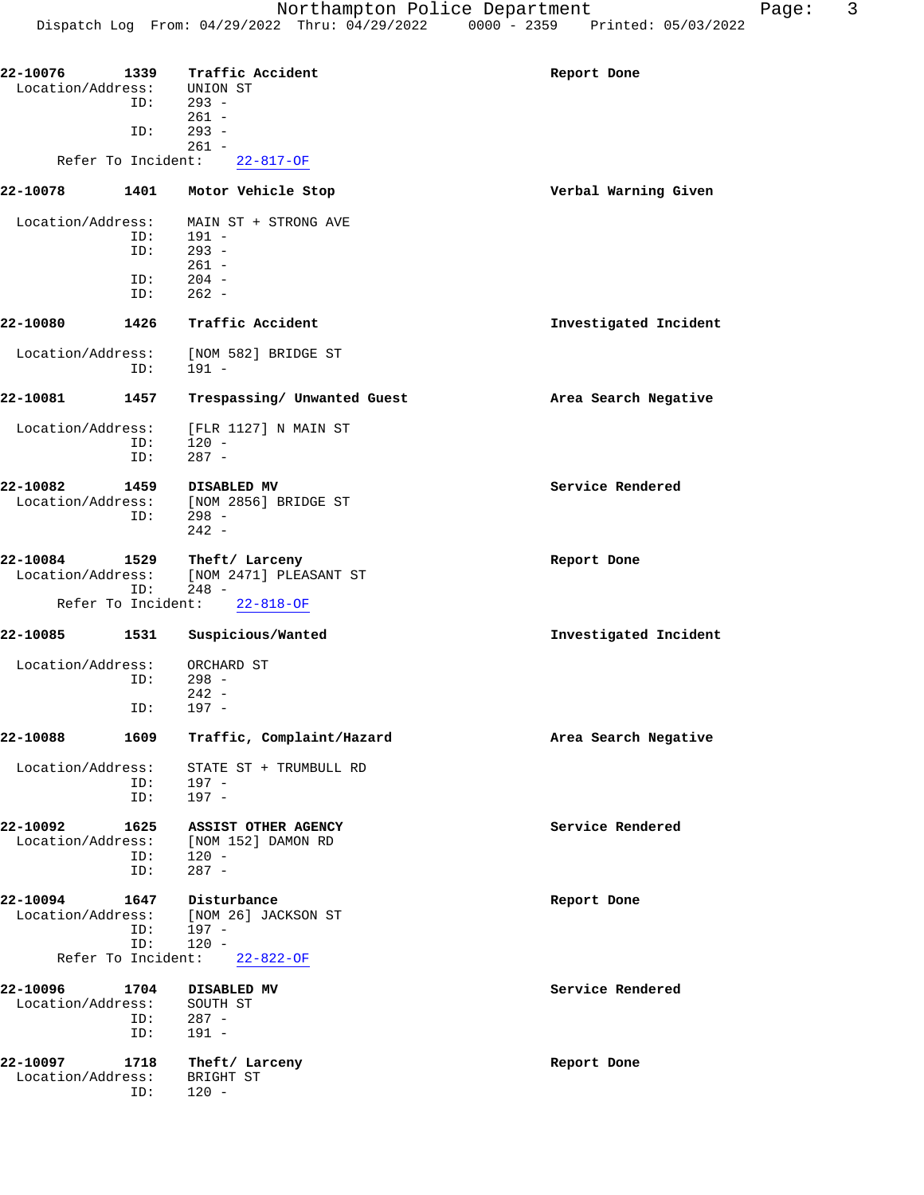| 22-10076                      |                    | 1339 Traffic Accident       | Report Done           |
|-------------------------------|--------------------|-----------------------------|-----------------------|
| Location/Address:             |                    | UNION ST                    |                       |
|                               | ID:                | $293 -$                     |                       |
|                               |                    | $261 -$                     |                       |
|                               | ID:                | $293 -$                     |                       |
|                               |                    | $261 -$                     |                       |
|                               | Refer To Incident: | $22 - 817 - OF$             |                       |
| 22-10078                      | 1401               | Motor Vehicle Stop          | Verbal Warning Given  |
| Location/Address:             |                    | MAIN ST + STRONG AVE        |                       |
|                               | ID:                | $191 -$                     |                       |
|                               | ID:                | $293 -$                     |                       |
|                               |                    | $261 -$                     |                       |
|                               | ID:                | $204 -$                     |                       |
|                               | ID:                | $262 -$                     |                       |
| 22-10080                      | 1426               | Traffic Accident            | Investigated Incident |
| Location/Address:             |                    | [NOM 582] BRIDGE ST         |                       |
|                               | ID:                | $191 -$                     |                       |
| 22-10081                      | 1457               | Trespassing/ Unwanted Guest | Area Search Negative  |
| Location/Address:             |                    | [FLR 1127] N MAIN ST        |                       |
|                               | ID:                | $120 -$                     |                       |
|                               | ID:                | $287 -$                     |                       |
|                               |                    |                             |                       |
| 22-10082                      | 1459               | DISABLED MV                 | Service Rendered      |
| Location/Address:             |                    | [NOM 2856] BRIDGE ST        |                       |
|                               | ID:                | $298 -$<br>$242 -$          |                       |
| 22-10084                      | 1529               | Theft/ Larceny              | Report Done           |
| Location/Address:             |                    | [NOM 2471] PLEASANT ST      |                       |
|                               | ID:                | $248 -$                     |                       |
|                               | Refer To Incident: | $22 - 818 - OF$             |                       |
| 22-10085                      | 1531               | Suspicious/Wanted           | Investigated Incident |
| Location/Address:             |                    | ORCHARD ST                  |                       |
|                               | ID:                | $298 -$                     |                       |
|                               |                    | $242 -$                     |                       |
|                               | ID:                | $197 -$                     |                       |
| 22-10088                      | 1609               | Traffic, Complaint/Hazard   | Area Search Negative  |
| Location/Address:             |                    | STATE ST + TRUMBULL RD      |                       |
|                               | ID:                | $197 -$                     |                       |
|                               | ID:                | $197 -$                     |                       |
| 22-10092                      | 1625               | ASSIST OTHER AGENCY         | Service Rendered      |
| Location/Address:             |                    | [NOM 152] DAMON RD          |                       |
|                               | ID:                | $120 -$                     |                       |
|                               | ID:                | $287 -$                     |                       |
| 22-10094                      | 1647               | Disturbance                 | Report Done           |
| Location/Address:             |                    | [NOM 26] JACKSON ST         |                       |
|                               | ID:                | 197 -                       |                       |
|                               | ID:                | $120 -$                     |                       |
|                               | Refer To Incident: | $22 - 822 - 0F$             |                       |
|                               |                    |                             |                       |
| 22-10096<br>Location/Address: | 1704               | DISABLED MV                 | Service Rendered      |
|                               | ID:                | SOUTH ST<br>$287 -$         |                       |
|                               | ID:                | $191 -$                     |                       |
|                               |                    |                             |                       |
| 22-10097                      | 1718               | Theft/ Larceny              | Report Done           |
| Location/Address:             |                    | BRIGHT ST                   |                       |
|                               | ID:                | $120 -$                     |                       |